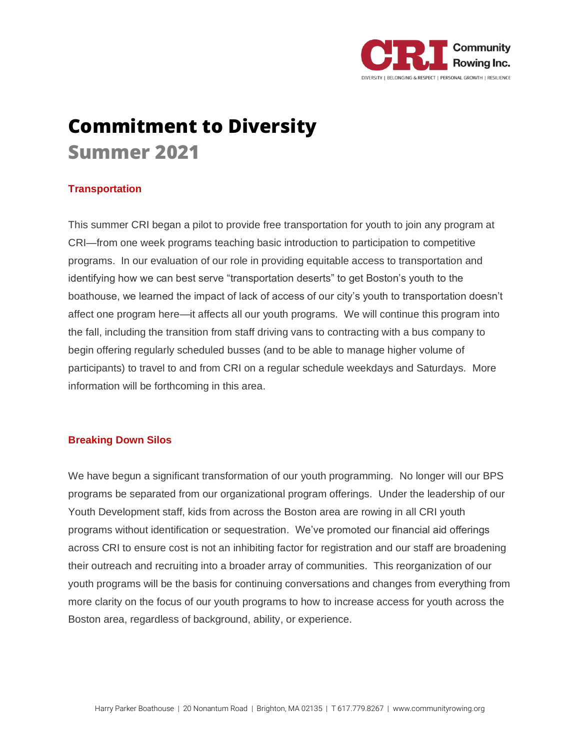

# **Commitment to Diversity Summer 2021**

## **Transportation**

This summer CRI began a pilot to provide free transportation for youth to join any program at CRI—from one week programs teaching basic introduction to participation to competitive programs. In our evaluation of our role in providing equitable access to transportation and identifying how we can best serve "transportation deserts" to get Boston's youth to the boathouse, we learned the impact of lack of access of our city's youth to transportation doesn't affect one program here—it affects all our youth programs. We will continue this program into the fall, including the transition from staff driving vans to contracting with a bus company to begin offering regularly scheduled busses (and to be able to manage higher volume of participants) to travel to and from CRI on a regular schedule weekdays and Saturdays. More information will be forthcoming in this area.

## **Breaking Down Silos**

We have begun a significant transformation of our youth programming. No longer will our BPS programs be separated from our organizational program offerings. Under the leadership of our Youth Development staff, kids from across the Boston area are rowing in all CRI youth programs without identification or sequestration. We've promoted our financial aid offerings across CRI to ensure cost is not an inhibiting factor for registration and our staff are broadening their outreach and recruiting into a broader array of communities. This reorganization of our youth programs will be the basis for continuing conversations and changes from everything from more clarity on the focus of our youth programs to how to increase access for youth across the Boston area, regardless of background, ability, or experience.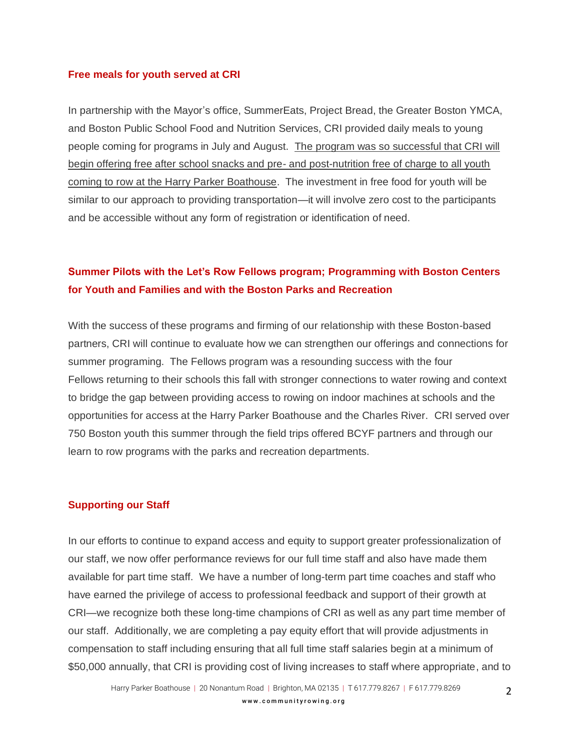#### **Free meals for youth served at CRI**

In partnership with the Mayor's office, SummerEats, Project Bread, the Greater Boston YMCA, and Boston Public School Food and Nutrition Services, CRI provided daily meals to young people coming for programs in July and August. The program was so successful that CRI will begin offering free after school snacks and pre- and post-nutrition free of charge to all youth coming to row at the Harry Parker Boathouse. The investment in free food for youth will be similar to our approach to providing transportation—it will involve zero cost to the participants and be accessible without any form of registration or identification of need.

# **Summer Pilots with the Let's Row Fellows program; Programming with Boston Centers for Youth and Families and with the Boston Parks and Recreation**

With the success of these programs and firming of our relationship with these Boston-based partners, CRI will continue to evaluate how we can strengthen our offerings and connections for summer programing. The Fellows program was a resounding success with the four Fellows returning to their schools this fall with stronger connections to water rowing and context to bridge the gap between providing access to rowing on indoor machines at schools and the opportunities for access at the Harry Parker Boathouse and the Charles River. CRI served over 750 Boston youth this summer through the field trips offered BCYF partners and through our learn to row programs with the parks and recreation departments.

### **Supporting our Staff**

In our efforts to continue to expand access and equity to support greater professionalization of our staff, we now offer performance reviews for our full time staff and also have made them available for part time staff. We have a number of long-term part time coaches and staff who have earned the privilege of access to professional feedback and support of their growth at CRI—we recognize both these long-time champions of CRI as well as any part time member of our staff. Additionally, we are completing a pay equity effort that will provide adjustments in compensation to staff including ensuring that all full time staff salaries begin at a minimum of \$50,000 annually, that CRI is providing cost of living increases to staff where appropriate, and to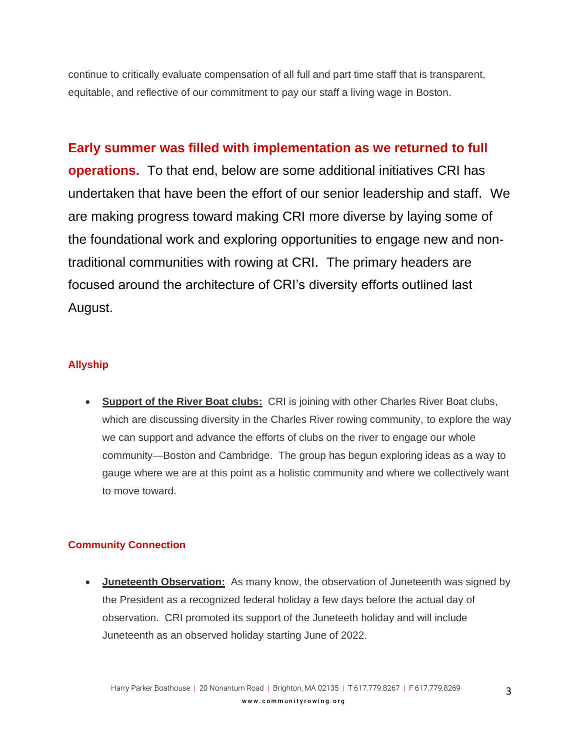continue to critically evaluate compensation of all full and part time staff that is transparent, equitable, and reflective of our commitment to pay our staff a living wage in Boston.

**Early summer was filled with implementation as we returned to full operations.** To that end, below are some additional initiatives CRI has undertaken that have been the effort of our senior leadership and staff. We are making progress toward making CRI more diverse by laying some of the foundational work and exploring opportunities to engage new and nontraditional communities with rowing at CRI. The primary headers are focused around the architecture of CRI's diversity efforts outlined last August.

# **Allyship**

• **Support of the River Boat clubs:** CRI is joining with other Charles River Boat clubs, which are discussing diversity in the Charles River rowing community, to explore the way we can support and advance the efforts of clubs on the river to engage our whole community—Boston and Cambridge. The group has begun exploring ideas as a way to gauge where we are at this point as a holistic community and where we collectively want to move toward.

# **Community Connection**

• **Juneteenth Observation:** As many know, the observation of Juneteenth was signed by the President as a recognized federal holiday a few days before the actual day of observation. CRI promoted its support of the Juneteeth holiday and will include Juneteenth as an observed holiday starting June of 2022.